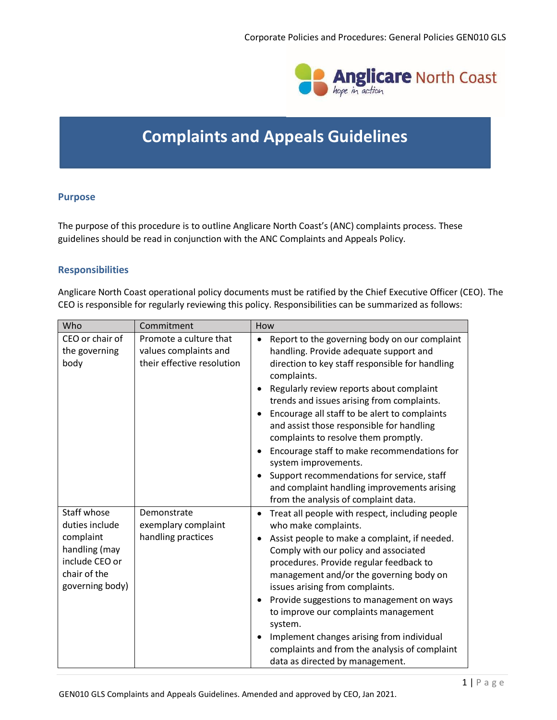

# **Complaints and Appeals Guidelines**

# **Purpose**

The purpose of this procedure is to outline Anglicare North Coast's (ANC) complaints process. These guidelines should be read in conjunction with the ANC Complaints and Appeals Policy.

# **Responsibilities**

Anglicare North Coast operational policy documents must be ratified by the Chief Executive Officer (CEO). The CEO is responsible for regularly reviewing this policy. Responsibilities can be summarized as follows:

| Who                                                                                                              | Commitment                                                                    | How                                                                                                                                                                                                                                                                                                                                                                                                                                                                                                                                                                                           |
|------------------------------------------------------------------------------------------------------------------|-------------------------------------------------------------------------------|-----------------------------------------------------------------------------------------------------------------------------------------------------------------------------------------------------------------------------------------------------------------------------------------------------------------------------------------------------------------------------------------------------------------------------------------------------------------------------------------------------------------------------------------------------------------------------------------------|
| CEO or chair of<br>the governing<br>body                                                                         | Promote a culture that<br>values complaints and<br>their effective resolution | Report to the governing body on our complaint<br>$\bullet$<br>handling. Provide adequate support and<br>direction to key staff responsible for handling<br>complaints.<br>Regularly review reports about complaint<br>trends and issues arising from complaints.<br>Encourage all staff to be alert to complaints<br>and assist those responsible for handling<br>complaints to resolve them promptly.<br>Encourage staff to make recommendations for<br>system improvements.<br>Support recommendations for service, staff<br>and complaint handling improvements arising                    |
| Staff whose<br>duties include<br>complaint<br>handling (may<br>include CEO or<br>chair of the<br>governing body) | Demonstrate<br>exemplary complaint<br>handling practices                      | from the analysis of complaint data.<br>Treat all people with respect, including people<br>$\bullet$<br>who make complaints.<br>Assist people to make a complaint, if needed.<br>Comply with our policy and associated<br>procedures. Provide regular feedback to<br>management and/or the governing body on<br>issues arising from complaints.<br>Provide suggestions to management on ways<br>to improve our complaints management<br>system.<br>Implement changes arising from individual<br>$\bullet$<br>complaints and from the analysis of complaint<br>data as directed by management. |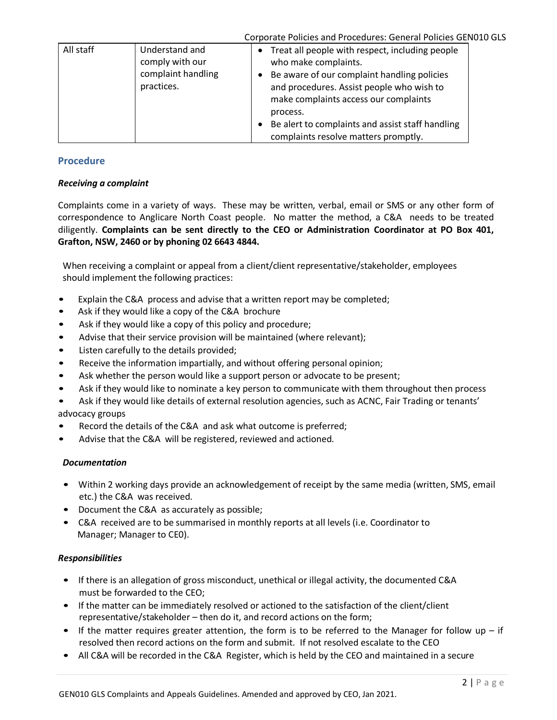|           |                                                                       | Corporate Policies and Procedures: General Policies GEN010 GLS                                                                                                                                                                                                                                                                    |
|-----------|-----------------------------------------------------------------------|-----------------------------------------------------------------------------------------------------------------------------------------------------------------------------------------------------------------------------------------------------------------------------------------------------------------------------------|
| All staff | Understand and<br>comply with our<br>complaint handling<br>practices. | Treat all people with respect, including people<br>$\bullet$<br>who make complaints.<br>Be aware of our complaint handling policies<br>and procedures. Assist people who wish to<br>make complaints access our complaints<br>process.<br>Be alert to complaints and assist staff handling<br>complaints resolve matters promptly. |

# **Procedure**

# *Receiving a complaint*

Complaints come in a variety of ways. These may be written, verbal, email or SMS or any other form of correspondence to Anglicare North Coast people. No matter the method, a C&A needs to be treated diligently. **Complaints can be sent directly to the CEO or Administration Coordinator at PO Box 401, Grafton, NSW, 2460 or by phoning 02 6643 4844.**

When receiving a complaint or appeal from a client/client representative/stakeholder, employees should implement the following practices:

- Explain the C&A process and advise that a written report may be completed;
- Ask if they would like a copy of the C&A brochure
- Ask if they would like a copy of this policy and procedure;
- Advise that their service provision will be maintained (where relevant);
- Listen carefully to the details provided;
- Receive the information impartially, and without offering personal opinion;
- Ask whether the person would like a support person or advocate to be present;
- Ask if they would like to nominate a key person to communicate with them throughout then process

• Ask if they would like details of external resolution agencies, such as ACNC, Fair Trading or tenants' advocacy groups

- Record the details of the C&A and ask what outcome is preferred;
- Advise that the C&A will be registered, reviewed and actioned.

# *Documentation*

- Within 2 working days provide an acknowledgement of receipt by the same media (written, SMS, email etc.) the C&A was received.
- Document the C&A as accurately as possible;
- C&A received are to be summarised in monthly reports at all levels (i.e. Coordinator to Manager; Manager to CE0).

# *Responsibilities*

- If there is an allegation of gross misconduct, unethical or illegal activity, the documented C&A must be forwarded to the CEO;
- If the matter can be immediately resolved or actioned to the satisfaction of the client/client representative/stakeholder – then do it, and record actions on the form;
- If the matter requires greater attention, the form is to be referred to the Manager for follow up  $-$  if resolved then record actions on the form and submit. If not resolved escalate to the CEO
- All C&A will be recorded in the C&A Register, which is held by the CEO and maintained in a secure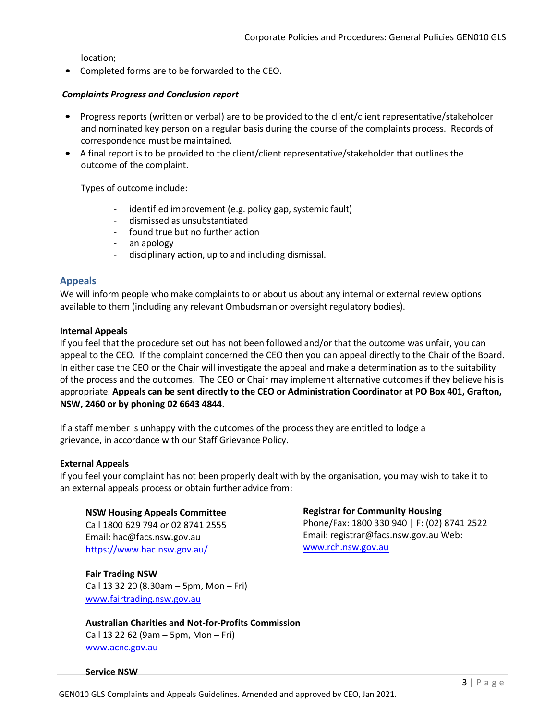location;

• Completed forms are to be forwarded to the CEO.

# *Complaints Progress and Conclusion report*

- Progress reports (written or verbal) are to be provided to the client/client representative/stakeholder and nominated key person on a regular basis during the course of the complaints process. Records of correspondence must be maintained.
- A final report is to be provided to the client/client representative/stakeholder that outlines the outcome of the complaint.

Types of outcome include:

- identified improvement (e.g. policy gap, systemic fault)
- dismissed as unsubstantiated
- found true but no further action
- an apology
- disciplinary action, up to and including dismissal.

# **Appeals**

We will inform people who make complaints to or about us about any internal or external review options available to them (including any relevant Ombudsman or oversight regulatory bodies).

# **Internal Appeals**

If you feel that the procedure set out has not been followed and/or that the outcome was unfair, you can appeal to the CEO. If the complaint concerned the CEO then you can appeal directly to the Chair of the Board. In either case the CEO or the Chair will investigate the appeal and make a determination as to the suitability of the process and the outcomes. The CEO or Chair may implement alternative outcomes if they believe his is appropriate. **Appeals can be sent directly to the CEO or Administration Coordinator at PO Box 401, Grafton, NSW, 2460 or by phoning 02 6643 4844**.

If a staff member is unhappy with the outcomes of the process they are entitled to lodge a grievance, in accordance with our Staff Grievance Policy.

# **External Appeals**

If you feel your complaint has not been properly dealt with by the organisation, you may wish to take it to an external appeals process or obtain further advice from:

# **NSW Housing Appeals Committee**

Call 1800 629 794 or 02 8741 2555 Email: hac@facs.nsw.gov.au <https://www.hac.nsw.gov.au/>

**Fair Trading NSW** Call 13 32 20 (8.30am – 5pm, Mon – Fri) [www.fairtrading.nsw.gov.au](http://www.fairtrading.nsw.gov.au/)

# **Australian Charities and Not-for-Profits Commission**

Call 13 22 62 (9am – 5pm, Mon – Fri) [www.acnc.gov.au](http://www.acnc.gov.au/)

#### **Service NSW**

**Registrar for Community Housing**  Phone/Fax: 1800 330 940 | F: (02) 8741 2522 Email: registrar@facs.nsw.gov.au Web: www.rch.nsw.gov.au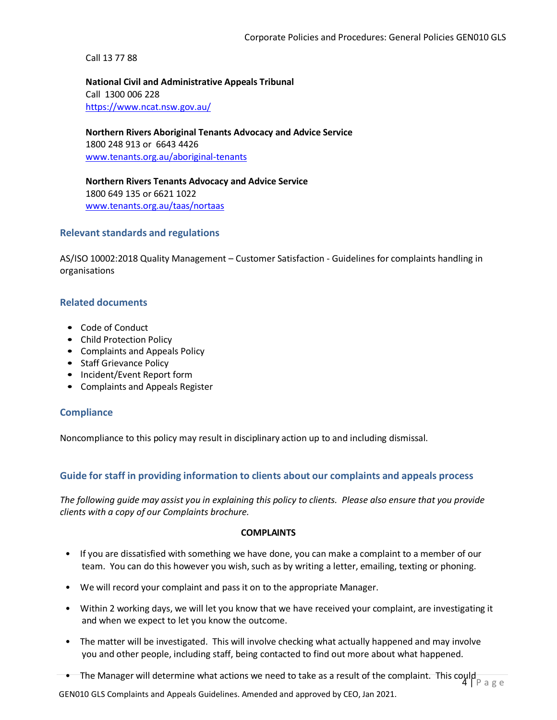Call 13 77 88

**National Civil and Administrative Appeals Tribunal** Call 1300 006 228 https://www.ncat.nsw.gov.au/

**Northern Rivers Aboriginal Tenants Advocacy and Advice Service** 1800 248 913 or 6643 4426 [www.tenants.org.au/aboriginal-tenants](http://www.tenants.org.au/aboriginal-tenants)

**Northern Rivers Tenants Advocacy and Advice Service** 1800 649 135 or 6621 1022 [www.tenants.org.au/taas/nortaas](http://www.tenants.org.au/taas/nortaas)

# **Relevant standards and regulations**

AS/ISO 10002:2018 Quality Management – Customer Satisfaction - Guidelines for complaints handling in organisations

# **Related documents**

- Code of Conduct
- Child Protection Policy
- Complaints and Appeals Policy
- Staff Grievance Policy
- Incident/Event Report form
- Complaints and Appeals Register

# **Compliance**

Noncompliance to this policy may result in disciplinary action up to and including dismissal.

# **Guide for staff in providing information to clients about our complaints and appeals process**

*The following guide may assist you in explaining this policy to clients. Please also ensure that you provide clients with a copy of our Complaints brochure.*

#### **COMPLAINTS**

- If you are dissatisfied with something we have done, you can make a complaint to a member of our team. You can do this however you wish, such as by writing a letter, emailing, texting or phoning.
- We will record your complaint and pass it on to the appropriate Manager.
- Within 2 working days, we will let you know that we have received your complaint, are investigating it and when we expect to let you know the outcome.
- The matter will be investigated. This will involve checking what actually happened and may involve you and other people, including staff, being contacted to find out more about what happened.
- $4 \mathsf{P}$  a g e • The Manager will determine what actions we need to take as a result of the complaint. This could

GEN010 GLS Complaints and Appeals Guidelines. Amended and approved by CEO, Jan 2021.